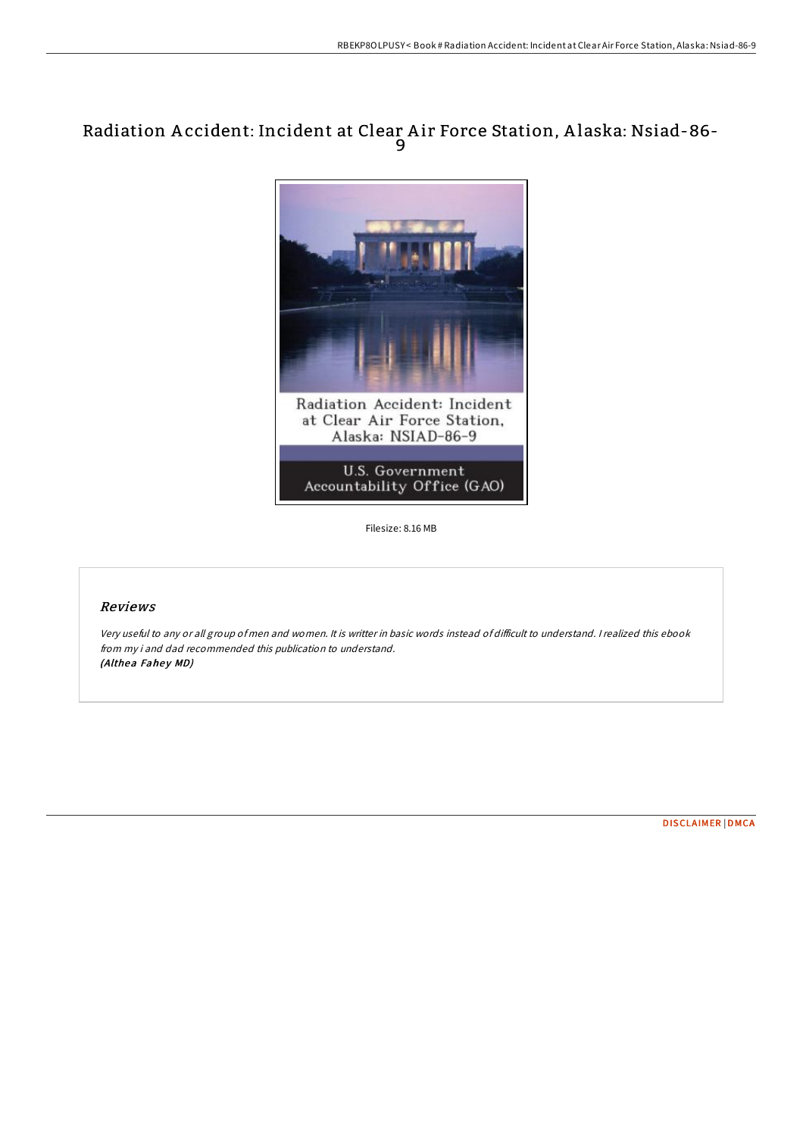# Radiation A ccident: Incident at Clear A ir Force Station, A laska: Nsiad-86- 9



Filesize: 8.16 MB

## Reviews

Very useful to any or all group of men and women. It is writter in basic words instead of difficult to understand. I realized this ebook from my i and dad recommended this publication to understand. (Althea Fahey MD)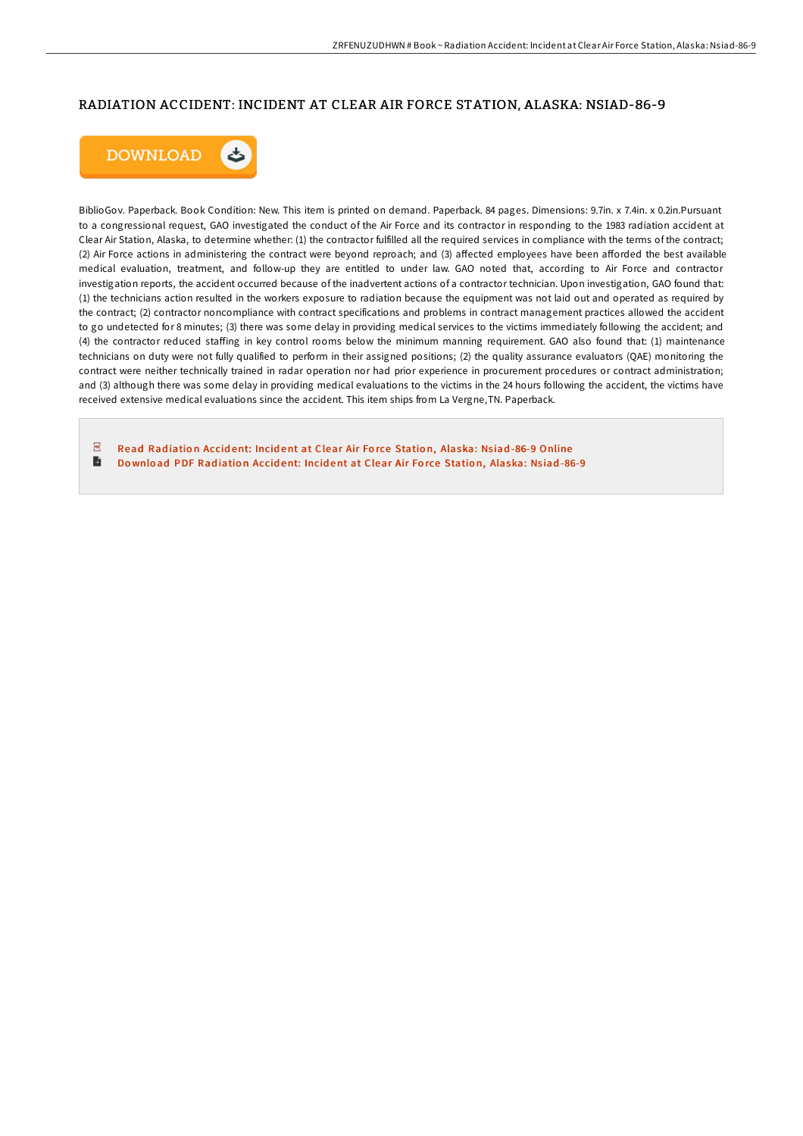### RADIATION ACCIDENT: INCIDENT AT CLEAR AIR FORCE STATION, ALASKA: NSIAD-86-9



BiblioGov. Paperback. Book Condition: New. This item is printed on demand. Paperback. 84 pages. Dimensions: 9.7in. x 7.4in. x 0.2in.Pursuant to a congressional request, GAO investigated the conduct of the Air Force and its contractor in responding to the 1983 radiation accident at Clear Air Station, Alaska, to determine whether: (1) the contractor fulfilled all the required services in compliance with the terms of the contract; (2) Air Force actions in administering the contract were beyond reproach; and (3) aFected employees have been aForded the best available medical evaluation, treatment, and follow-up they are entitled to under law. GAO noted that, according to Air Force and contractor investigation reports, the accident occurred because of the inadvertent actions of a contractor technician. Upon investigation, GAO found that: (1) the technicians action resulted in the workers exposure to radiation because the equipment was not laid out and operated as required by the contract; (2) contractor noncompliance with contract specifications and problems in contract management practices allowed the accident to go undetected for 8 minutes; (3) there was some delay in providing medical services to the victims immediately following the accident; and (4) the contractor reduced staFing in key control rooms below the minimum manning requirement. GAO also found that: (1) maintenance technicians on duty were not fully qualified to perform in their assigned positions; (2) the quality assurance evaluators (QAE) monitoring the contract were neither technically trained in radar operation nor had prior experience in procurement procedures or contract administration; and (3) although there was some delay in providing medical evaluations to the victims in the 24 hours following the accident, the victims have received extensive medical evaluations since the accident. This item ships from La Vergne,TN. Paperback.

 $\sqrt{p_{\rm D}}$ Read Radiation Accident: Incident at Clear Air Force Station, [Alaska:](http://almighty24.tech/radiation-accident-incident-at-clear-air-force-s.html) Nsiad-86-9 Online  $\blacktriangleright$ Download PDF Radiation Accident: Incident at Clear Air Force Station, [Alaska:](http://almighty24.tech/radiation-accident-incident-at-clear-air-force-s.html) Nsiad-86-9